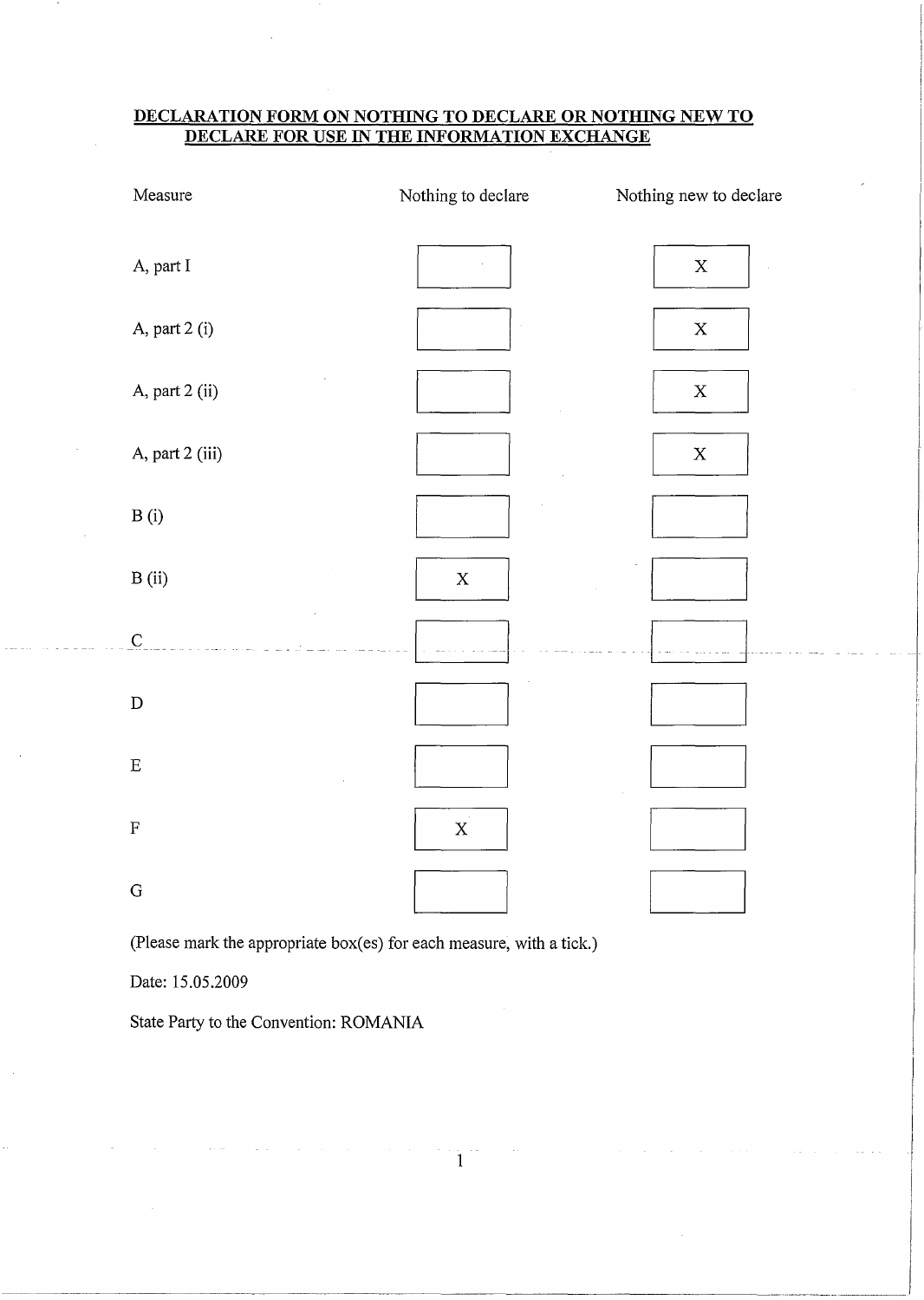## **DECLARATION FORM ON NOTHING TO DECLARE OR NOTHING NEW TO DECLARE FOR USE IN THE INFORMATION EXCHANGE**

| Measure         | Nothing to declare  | Nothing new to declare |
|-----------------|---------------------|------------------------|
| A, part I       |                     | $\mathbf X$            |
| A, part 2 (i)   |                     | $\mathbf X$            |
| A, part 2 (ii)  |                     | $\mathbf X$            |
| A, part 2 (iii) |                     | $\mathbf X$            |
| B(i)            |                     |                        |
| B (ii)          | $\mathbf X$         |                        |
| $\overline{C}$  |                     |                        |
| ${\bf D}$       |                     |                        |
| ${\bf E}$       |                     |                        |
| $\mathbf F$     | $\mathbf{x}^{\top}$ |                        |
| ${\bf G}$       |                     |                        |

(Please mark the appropriate box(es) for each measure, with a tick.)

Date: 15.05.2009

State Party to the Convention: ROMANIA

 $1^{\circ}$ 

-----------------------------------~----·-----------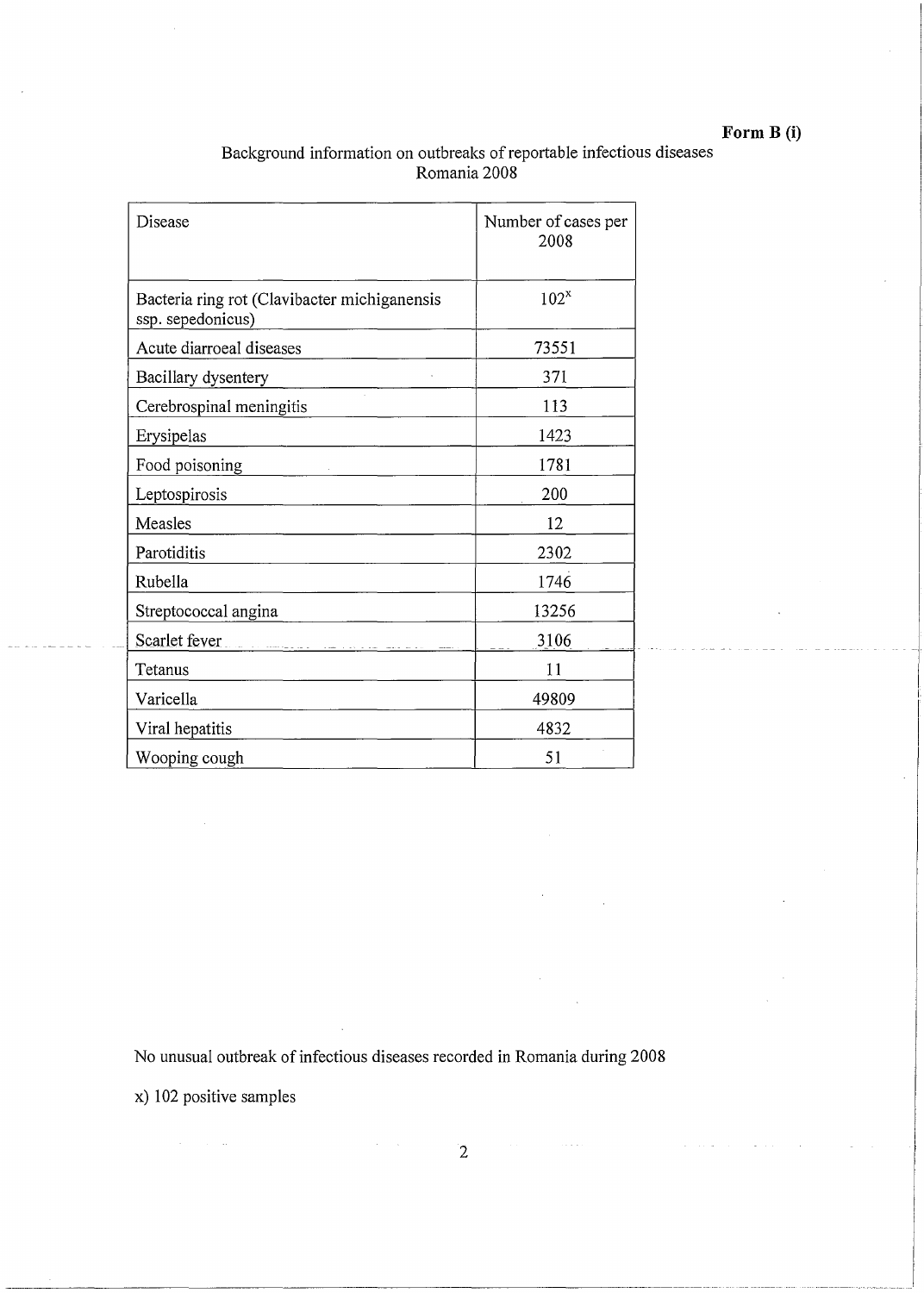# **Form B (i)**

| Background information on outbreaks of reportable infectious diseases |  |
|-----------------------------------------------------------------------|--|
| Romania 2008                                                          |  |

| Disease                                                           | Number of cases per<br>2008 |
|-------------------------------------------------------------------|-----------------------------|
| Bacteria ring rot (Clavibacter michiganensis<br>ssp. sepedonicus) | $102^x$                     |
| Acute diarroeal diseases                                          | 73551                       |
| Bacillary dysentery                                               | 371                         |
| Cerebrospinal meningitis                                          | 113                         |
| Erysipelas                                                        | 1423                        |
| Food poisoning                                                    | 1781                        |
| Leptospirosis                                                     | 200                         |
| Measles                                                           | 12                          |
| Parotiditis                                                       | 2302                        |
| Rubella                                                           | 1746                        |
| Streptococcal angina                                              | 13256                       |
| Scarlet fever <b>Experience and Scarlet fever</b>                 | 3106                        |
| Tetanus                                                           | 11                          |
| Varicella                                                         | 49809                       |
| Viral hepatitis                                                   | 4832                        |
| Wooping cough                                                     | 51                          |

No unusual outbreak of infectious diseases recorded in Romania during 2008

 $\sigma_{\rm c}$  ,  $\sigma_{\rm c}$ 

x) 102 positive samples

2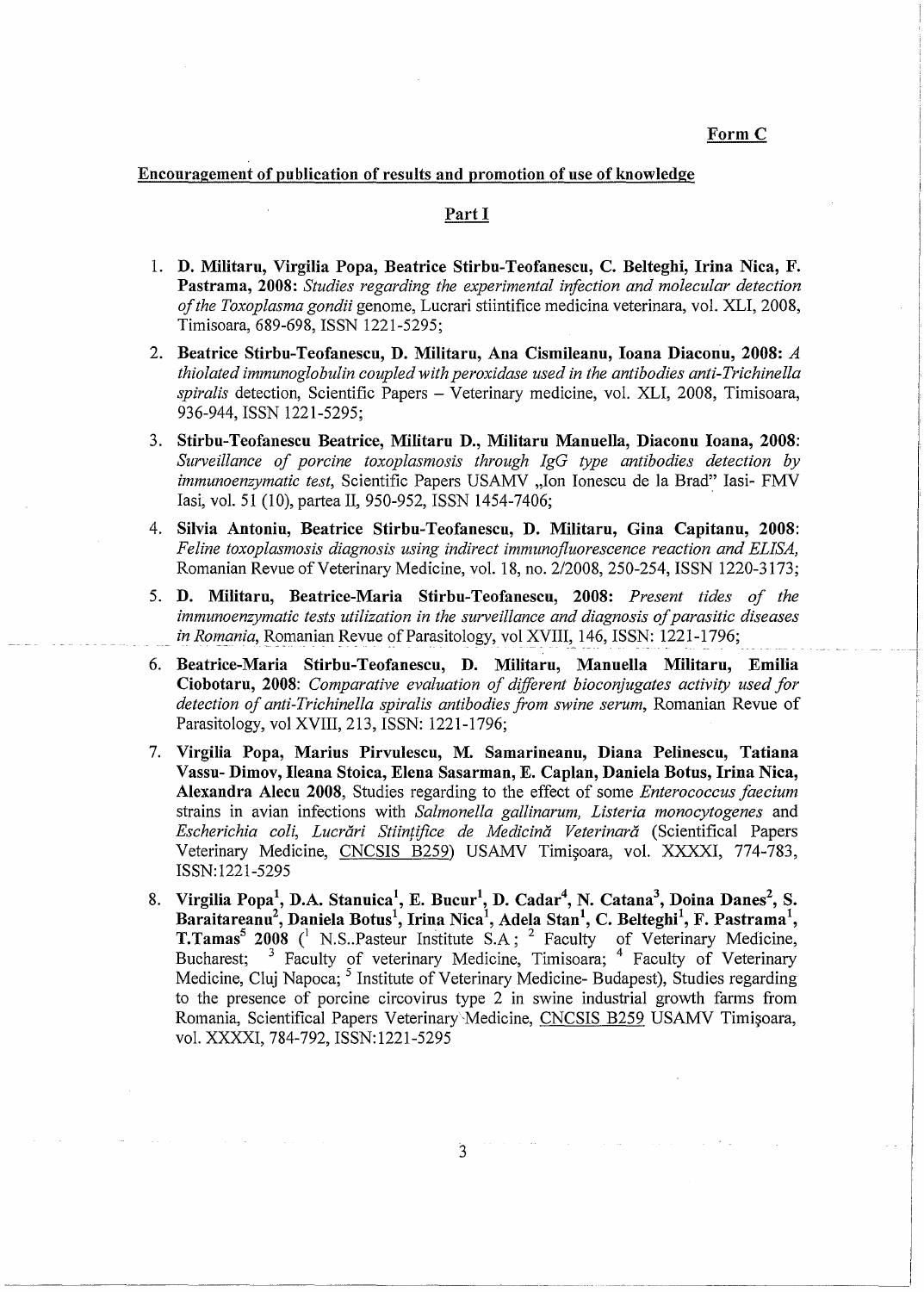Form C

### Encouragement of publication of results and promotion of use of knowledge

### Part I

- 1. **D. Militaru, Virgilia Popa, Beatrice Stirbu-Teofanescu, C. Belteghi, Irina Nica, F. Pastrama, 2008:** *Studies regarding the experimental infection and molecular detection of the Toxoplasma gondii* genome, Lucrari stiintifice medicina veterinara, vol. XLI, 2008, Timisoara, 689-698, ISSN 1221-5295;
- 2. **Beatrice Stirbu-Teofanescu, D. Militaru, Ana Cismileanu, Joana Diaconu, 2008:** A *thiolated immunoglobulin coupled with peroxidase used in the antibodies anti-Trichinella spiralis* detection, Scientific Papers - Veterinary medicine, vol. XLI, 2008, Timisoara, 936-944, ISSN 1221-5295;
- 3. **Stirbu-Teofanescu Beatrice, Militaru D., Militaru Mannella, Diaconu Joana, 2008:**  *Surveillance of porcine toxoplasmosis through IgG type antibodies detection by immunoenzymatic test,* Scientific Papers USAMV ,,Ion Ionescu de la Brad" Iasi- FMV Iasi, vol. 51 (10), partea II, 950-952, ISSN 1454-7406;
- 4. **Silvia Antonin, Beatrice Stirbu-Teofanescu, D. Militaru, Gina Capitano, 2008:**  *Feline toxoplasmosis diagnosis using indirect immunofluorescence reaction and ELISA,*  Romanian Revue of Veterinary Medicine, vol. 18, no. 2/2008, 250-254, ISSN 1220-3173;
- 5. **D. Militaru, Beatrice-Maria Stirbu-Teofanescu, 2008:** *Present tides of the immunoenzymatic tests utilization in the surveillance and diagnosis of parasitic diseases in Romania*, Romanian Revue of Parasitology, vol XVIII, 146, ISSN: 1221-1796;
- 6. **Beatrice-Maria Stirbu-Teofanescu, D. Militaru, Mannella Militaru, Emilia Ciobotaru, 2008:** *Comparative evaluation of different bioconjugates activity used for detection of anti-Trichinella spiralis antibodies from swine serum,* Romanian Revue of Parasitology, vol XVIII, 213, ISSN: 1221-1796;
- 7. **Virgilia Popa, Marius Pirvulescu, M. Samarineanu, Diana Pelinescu, Tatiana Vassu- Dimov, Ileana Stoica, Elena Sasarman, E. Caplan, Daniela Botus, Irina Nica, Alexandra Alecu 2008,** Studies regarding to the effect of some *Enterococcus faecium*  strains in avian infections with *Salmonella gallinarum, Listeria monocytogenes* and *Escherichia coli, Lucrari Stiin/ifice de Medicina Veterinara* (Scientifical Papers Veterinary Medicine, CNCSIS B259) USAMV Timișoara, vol. XXXXI, 774-783, ISSN: 1221-5295
- 8. Virgilia Popa<sup>1</sup>, D.A. Stanuica<sup>1</sup>, E. Bucur<sup>1</sup>, D. Cadar<sup>4</sup>, N. Catana<sup>3</sup>, Doina Danes<sup>2</sup>, S. Baraitareanu<sup>2</sup>, Daniela Botus<sup>1</sup>, Irina Nica<sup>1</sup>, Adela Stan<sup>1</sup>, C. Belteghi<sup>1</sup>, F. Pastrama<sup>1</sup>, **T.Tamas<sup>5</sup> 2008** <sup>(1</sup> N.S. Pasteur Institute S.A; <sup>2</sup> Faculty of Veterinary Medicine, Bucharest; <sup>3</sup> Faculty of veterinary Medicine, Timisoara; <sup>4</sup> Faculty of Veterinary Medicine, Cluj Napoca; <sup>5</sup> Institute of Veterinary Medicine- Budapest), Studies regarding to the presence of porcine circovirus type 2 in swine industrial growth farms from Romania, Scientifical Papers Veterinary Medicine, CNCSIS B259 USAMV Timișoara, vol. XXXXI, 784-792, ISSN:1221-5295

3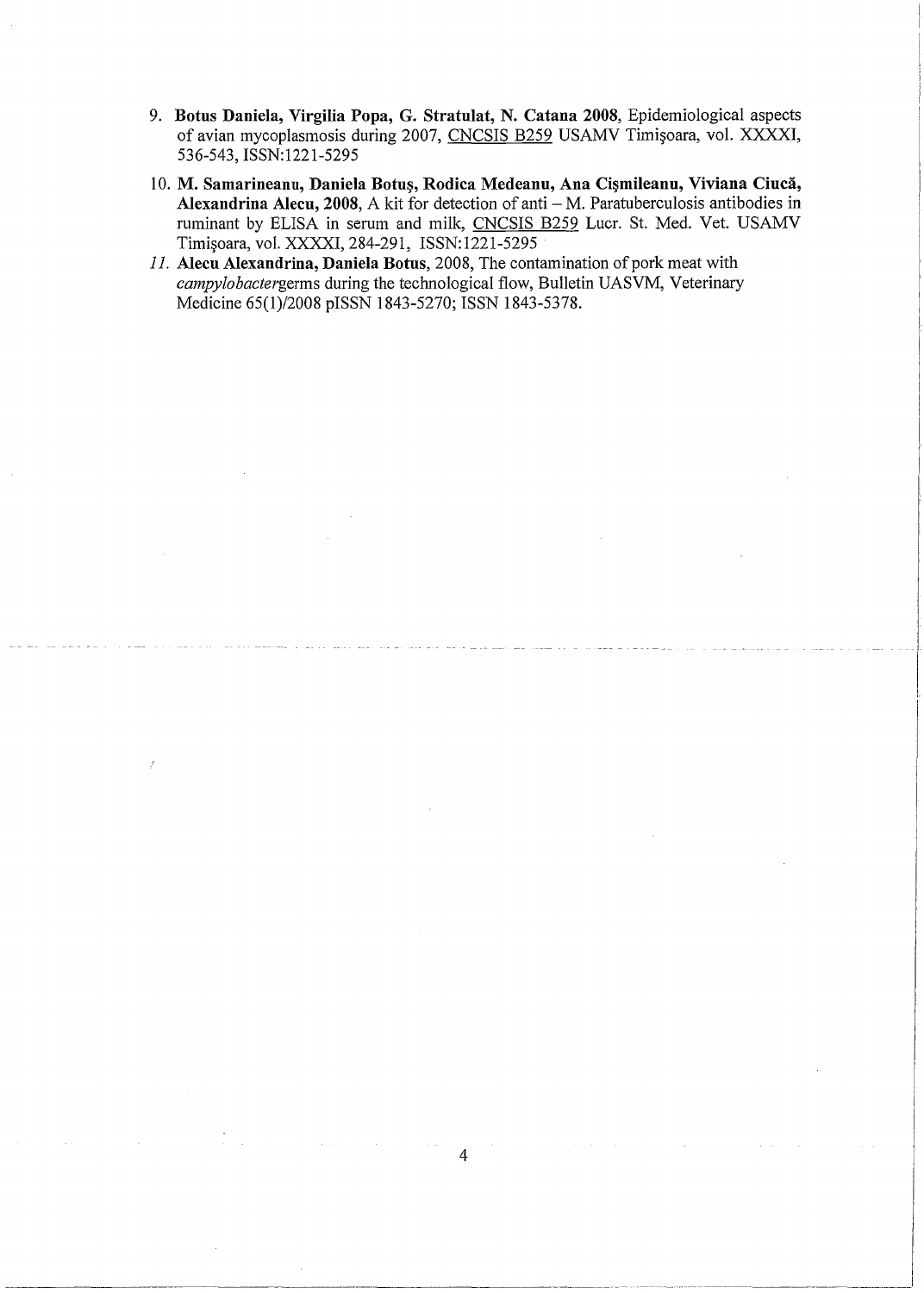- 9. Botus Daniela, Virgilia Popa, G. Stratulat, N. Catana 2008, Epidemiological aspects of avian mycoplasmosis during 2007, CNCSIS B259 USAMV Timișoara, vol. XXXXI, 536-543, ISSN:1221-5295
- 10. M. Samarineanu, Daniela Botuș, Rodica Medeanu, Ana Cișmileanu, Viviana Ciucă, Alexandrina Alecu, 2008, A kit for detection of anti - M. Paratuberculosis antibodies in ruminant by ELISA in serum and milk, CNCSIS B259 Lucr. St. Med. Vet. USAMV Timișoara, vol. XXXXI, 284-291, ISSN:1221-5295
- *11.* **Aleen Alexandrina, Daniela Botns,** 2008, The contamination of pork meat with *campylobactergerms* during the technological flow, Bulletin UASVM, Veterinary Medicine 65(1)/2008 pISSN 1843-5270; ISSN 1843-5378.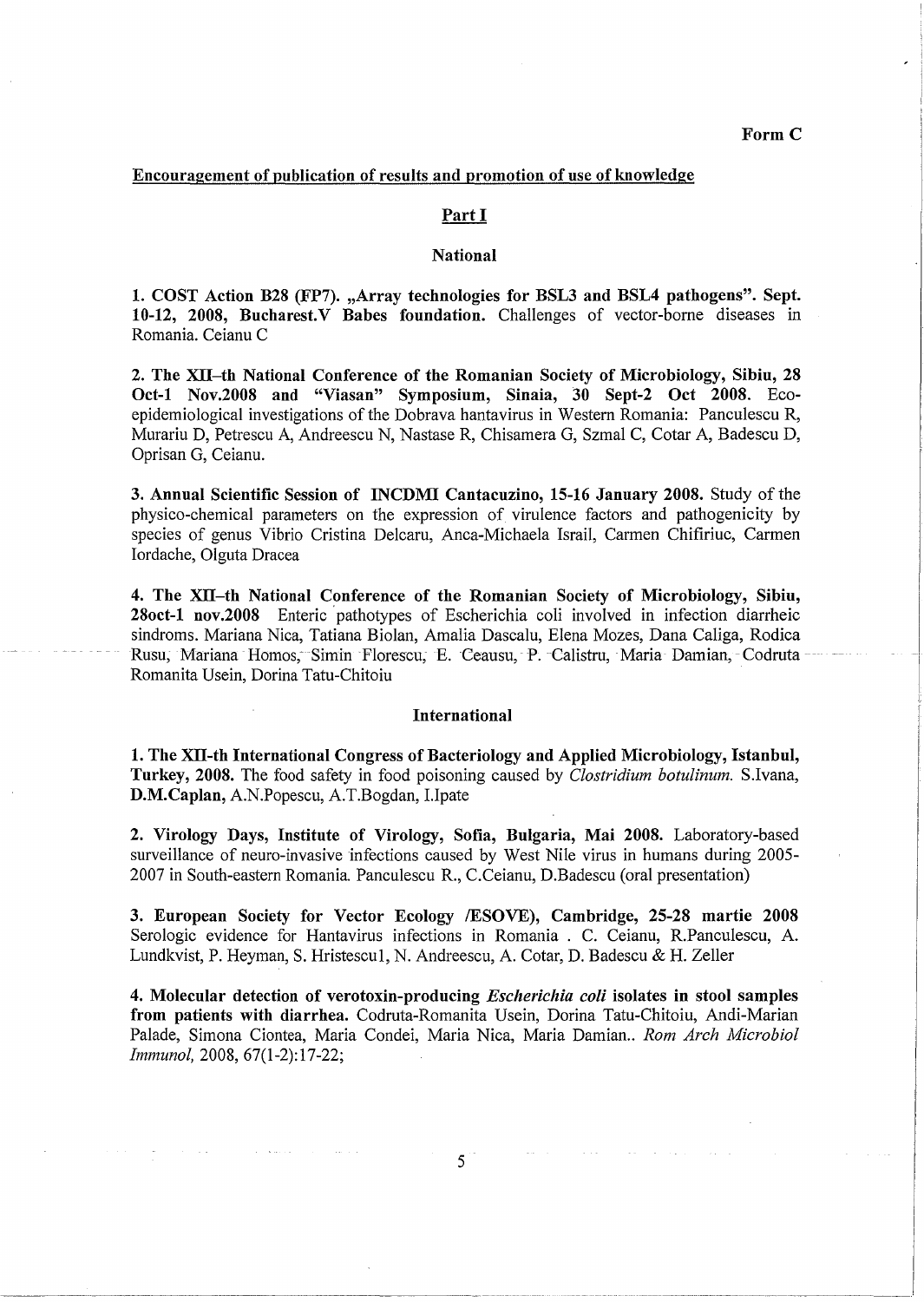### **Encouragement of publication of results and promotion of use of knowledge**

### Part I

### **National**

**1. COST Action B28 (FP7). ,,Array technologies for BSL3 and BSL4 pathogens". Sept. 10-12, 2008, Bucharest.V Babes foundation.** Challenges of vector-borne diseases in Romania. Ceianu C

**2. The XII-th National Conference of the Romanian Society of Microbiology, Sibiu, 28 Oct-1 Nov.2008 and "Viasan" Symposium, Sinaia, 30 Sept-2 Oct 2008.** Ecoepidemiological investigations of the Dobrava hantavirus in Western Romania: Panculescu R, Murariu D, Petrescu A, Andreescu N, Nastase R, Chisamera G, Szmal C, Cotar A, Badescu D, Oprisan G, Ceianu.

**3. Annual Scientific Session of INCDMI Cantacuzino, 15-16 January 2008.** Study of the physico-chemical parameters on the expression of virulence factors and pathogenicity by species of genus Vibrio Cristina Delcaru, Anca-Michaela Israil, Carmen Chifiriuc, Carmen Iordache, Olguta Dracea

**4. The XII-th National Conference of the Romanian Society of Microbiology, Sibiu, 28oct-1 nov.2008** Enteric pathotypes of Escherichia coli involved in infection diarrheic sindroms. Mariana Nica, Tatiana Biolan, Amalia Dascalu, Elena Mozes, Dana Caliga, Rodica Rusu, Mariana Homos, Simin Florescu, E. Ceausu, P. Calistru, Maria Damian, Codruta Romanita Usein, Dorina Tatu-Chitoiu

### **International**

**1. The XII-th International Congress of Bacteriology and Applied Microbiology, Istanbul, Turkey, 2008.** The food safety in food poisoning caused by *Clostridium botulinum.* S.Ivana, **D.M.Caplan,** A.N.Popescu, A.T.Bogdan, 1.Ipate

**2. Virology Days, Institute of Virology, Sofia, Bulgaria, Mai 2008.** Laboratory-based surveillance of neuro-invasive infections caused by West Nile virus in humans during 2005- 2007 in South-eastern Romania. Panculescu R., C.Ceianu, D.Badescu (oral presentation)

**3. European Society for Vector Ecology /ESOVE), Cambridge, 25-28 martie 2008**  Serologic evidence for Hantavirus infections in Romania . C. Ceianu, R.Panculescu, A. Lundkvist, P. Heyman, S. Hristescul, N. Andreescu, A. Cotar, D. Badescu & H. Zeller

**4. Molecular detection of verotoxin-producing** *Escherichia coli* **isolates in stool samples from patients with diarrhea.** Codruta-Romanita Usein, Dorina Tatu-Chitoiu, Andi-Marian Palade, Simona Ciontea, Maria Condei, Maria Nica, Maria Damian.. *Rom Arch Microbiol Immunol,* 2008, 67(1-2): 17-22;

 $5<sup>+</sup>$ 

------------------------------------·--· - ---·---·--·-·- -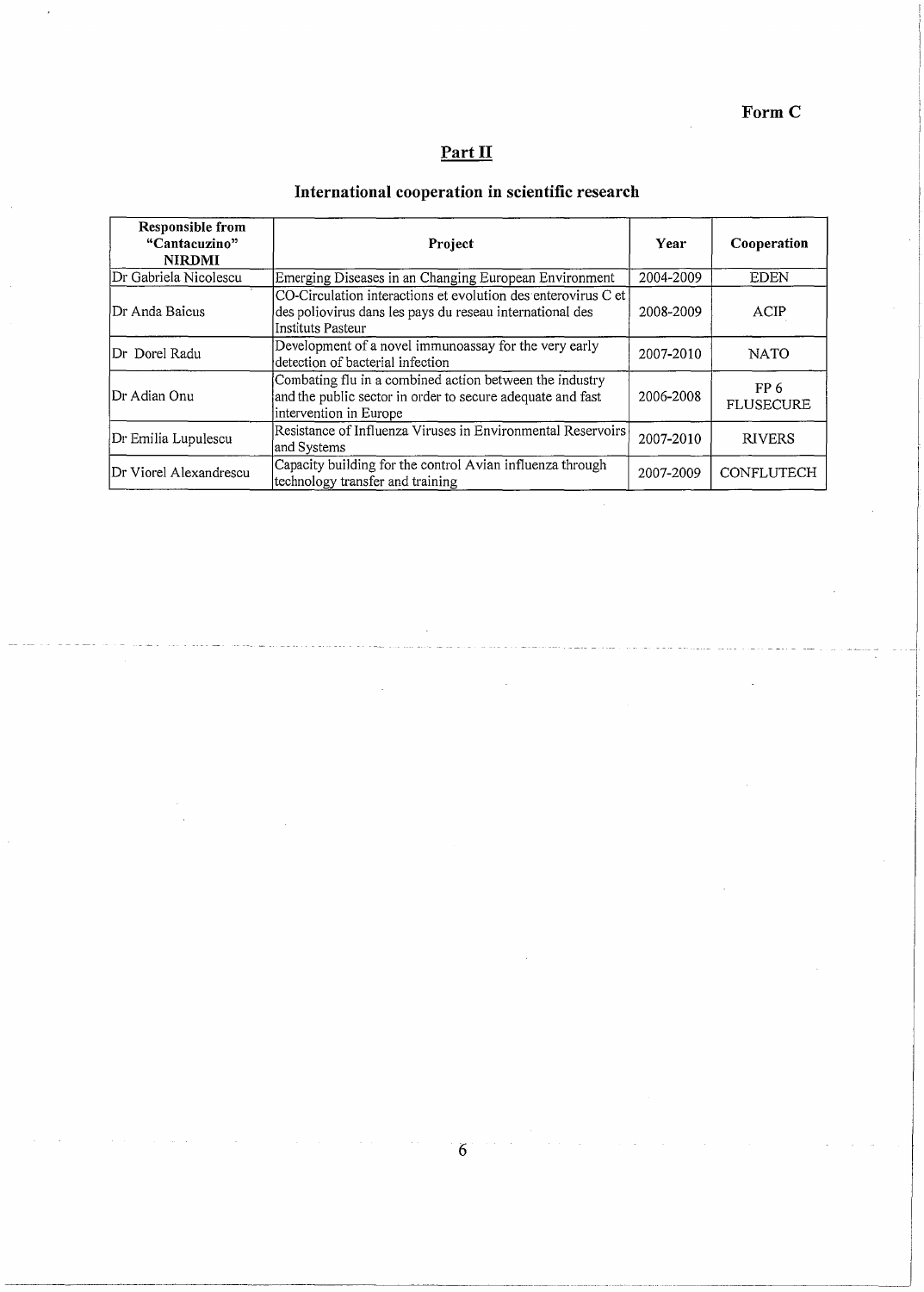**FormC** 

# **Part II**

# **International cooperation in scientific research**

| <b>Responsible from</b><br>"Cantacuzino"<br><b>NIRDMI</b> | Project                                                                                                                                         | Year      | Cooperation              |
|-----------------------------------------------------------|-------------------------------------------------------------------------------------------------------------------------------------------------|-----------|--------------------------|
| Dr Gabriela Nicolescu                                     | Emerging Diseases in an Changing European Environment                                                                                           | 2004-2009 | <b>EDEN</b>              |
| Dr Anda Baicus                                            | CO-Circulation interactions et evolution des enterovirus C et<br>des poliovirus dans les pays du reseau international des<br>lInstituts Pasteur | 2008-2009 | ACIP                     |
| Dr Dorel Radu                                             | Development of a novel immunoassay for the very early<br>detection of bacterial infection                                                       | 2007-2010 | <b>NATO</b>              |
| Dr Adian Onu                                              | Combating flu in a combined action between the industry<br>and the public sector in order to secure adequate and fast<br>intervention in Europe | 2006-2008 | FP 6<br><b>FLUSECURE</b> |
| Dr Emilia Lupulescu                                       | Resistance of Influenza Viruses in Environmental Reservoirs<br>and Systems                                                                      | 2007-2010 | <b>RIVERS</b>            |
| Dr Viorel Alexandrescu                                    | Capacity building for the control Avian influenza through<br>technology transfer and training                                                   | 2007-2009 | CONFLUTECH               |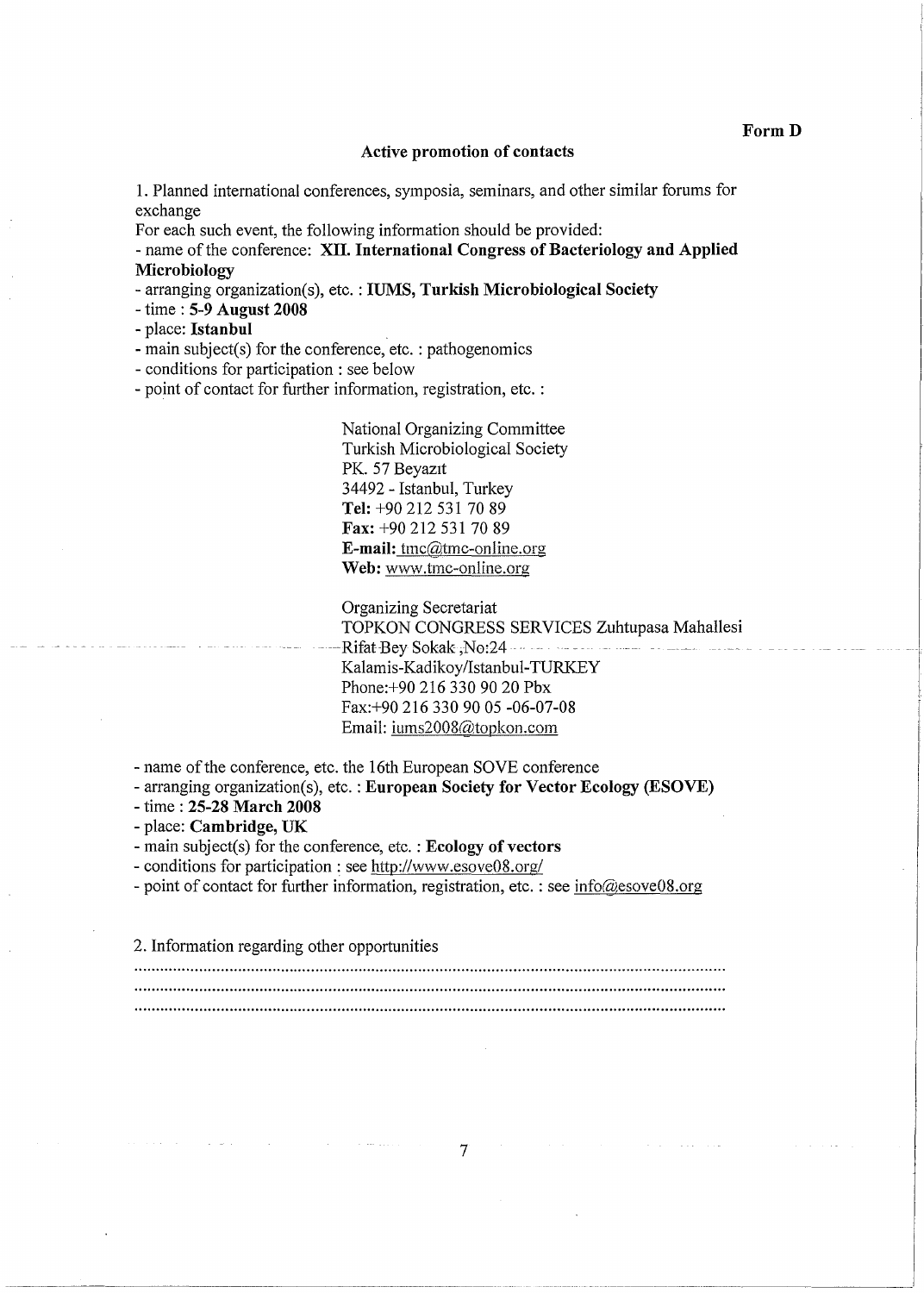### **Active promotion of contacts**

**1.** Planned international conferences, symposia, seminars, and other similar forums for exchange

For each such event, the following information should be provided:

- name of the conference: **XII. International Congress of Bacteriology and Applied Microbiology** 

- arranging organization(s), etc. : **IUMS, Turkish Microbiological Society** 

- time : **5-9 August 2008** 

- place: **Istanbul** 

- main subject(s) for the conference, etc. : pathogenomics

- conditions for participation : see below

- point of contact for further information, registration, etc. :

National Organizing Committee Turkish Microbiological Society PK. 57 Beyazıt 34492 - Istanbul, Turkey **Tel:** +90 212 531 70 89 **Fax:** +90 212 531 70 89 **E-mail:** tmc@tmc-online.org **Web:** www.tmc-online.org

Organizing Secretariat TOPKON CONGRESS SERVICES Zuhtupasa Mahallesi Rifat Bey Sokak ,No:24 -- - - - - - - - - - -Kalamis-Kadikoy/Istanbul-TURKEY Phone:+90 216 330 90 20 Pbx Fax:+90 216 330 90 05 -06-07-08 Email: iums2008@topkon.com

- name of the conference, etc. the 16th European SOVE conference

- arranging organization(s), etc. : **European Society for Vector Ecology (ESOVE)** 

- time : **25-28 March 2008** 

- place: **Cambridge, UK** 

- main subject(s) for the conference, etc. : **Ecology of vectors** 

- conditions for participation : see http://www.esove08.org/

- point of contact for further information, registration, etc. : see info@esove08.org

2. Information regarding other opportunities

7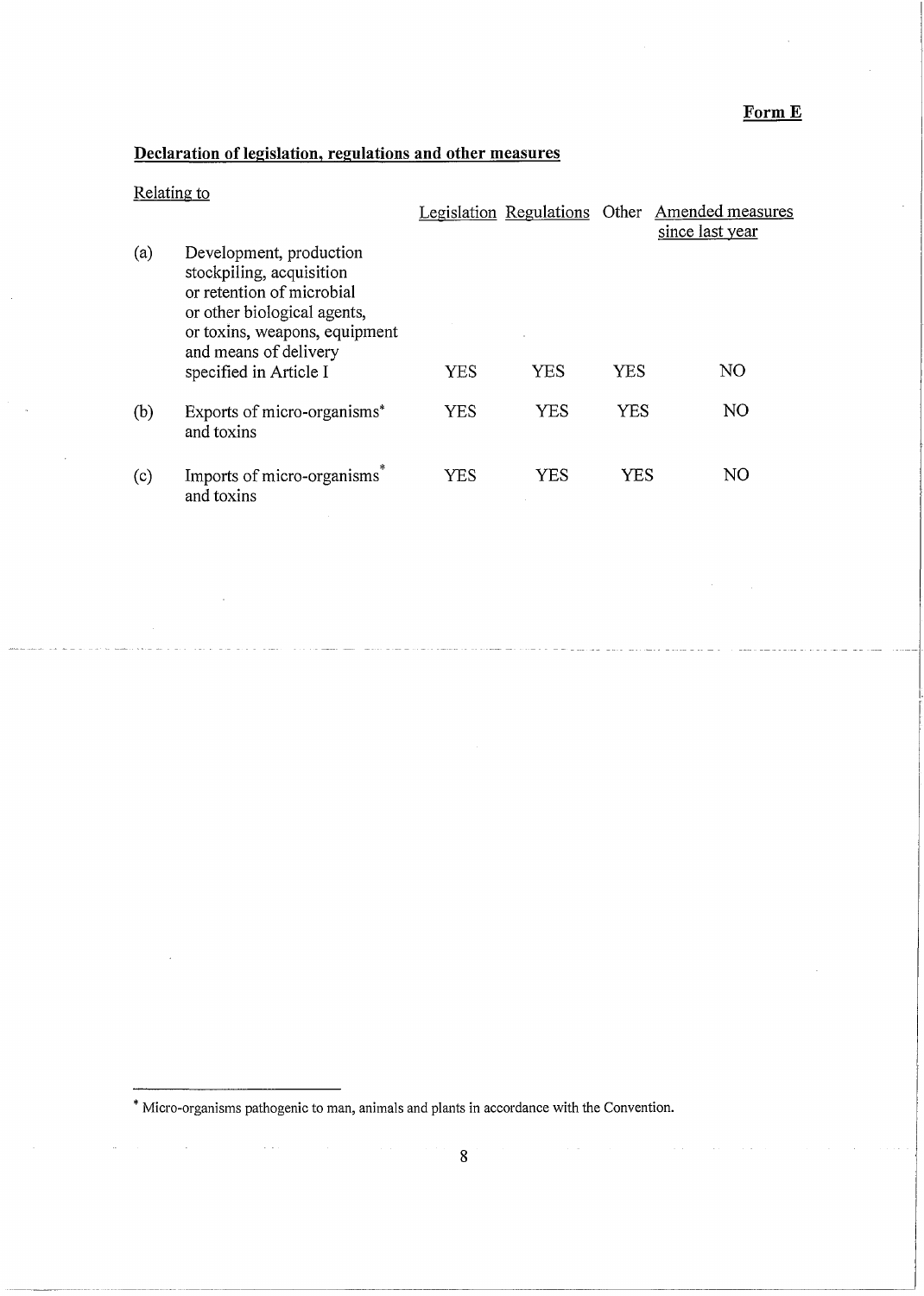# **FormE**

# **Declaration of legislation, regulations and other measures**

|     |                                                                                                                                                                                                     |            | Legislation Regulations Other |            | Amended measures<br>since last year |
|-----|-----------------------------------------------------------------------------------------------------------------------------------------------------------------------------------------------------|------------|-------------------------------|------------|-------------------------------------|
| (a) | Development, production<br>stockpiling, acquisition<br>or retention of microbial<br>or other biological agents,<br>or toxins, weapons, equipment<br>and means of delivery<br>specified in Article I | YES        | YES                           | YES        | NO                                  |
| (b) | Exports of micro-organisms*<br>and toxins                                                                                                                                                           | <b>YES</b> | YES                           | <b>YES</b> | NO                                  |
| (c) | Imports of micro-organisms<br>and toxins                                                                                                                                                            | YES        | YES                           | YES        | NO                                  |

\* Micro-organisms pathogenic to man, animals and plants in accordance with the Convention.

 $\hat{\mathcal{L}}$  is  $\hat{\mathcal{L}}$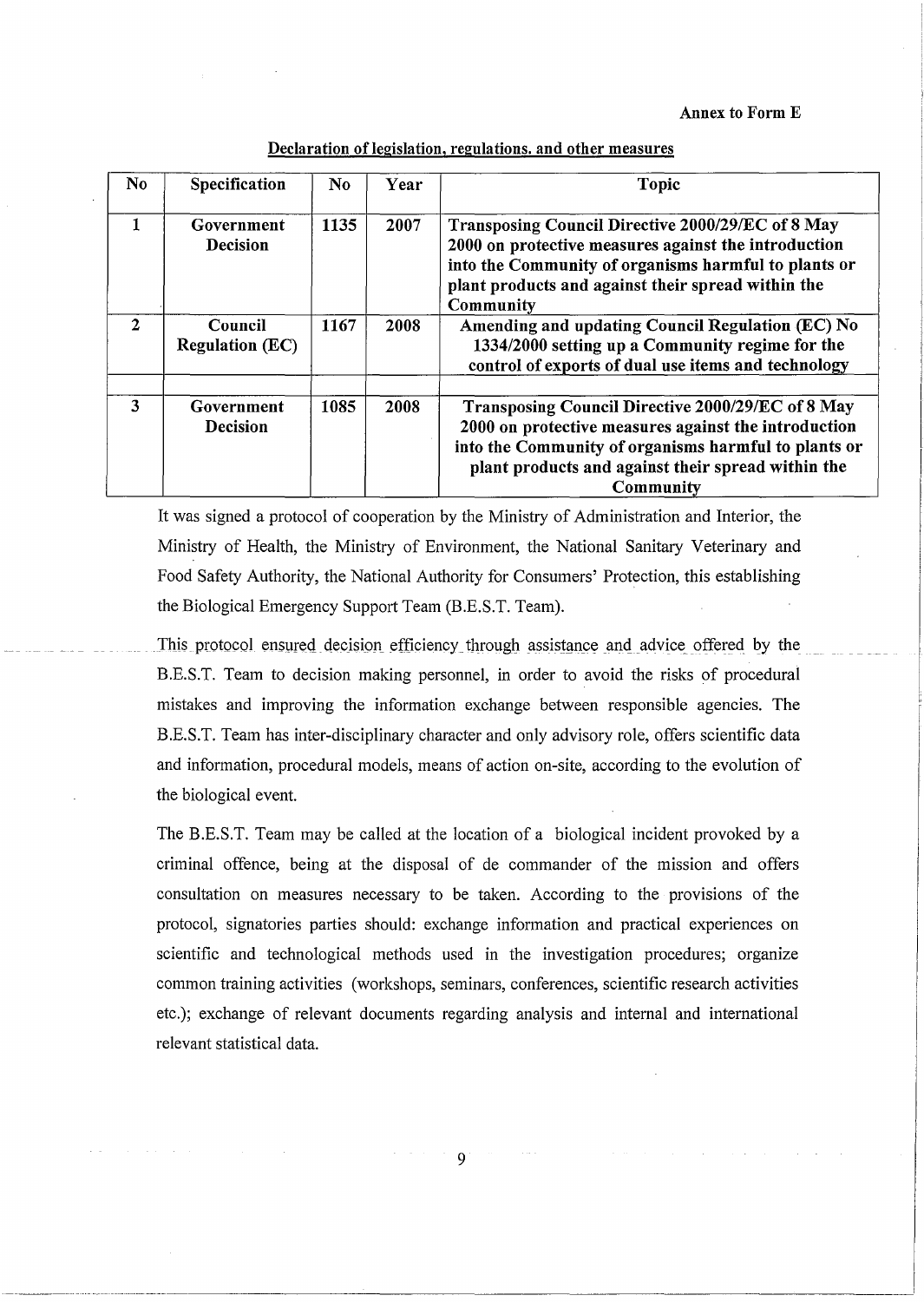**Annex to Form E** 

## **Declaration oflegislation, regulations. and other measures**

| N <sub>o</sub> | Specification                     | N <sub>0</sub> | <b>Year</b> | <b>Topic</b>                                                                                                                                                                                                                         |
|----------------|-----------------------------------|----------------|-------------|--------------------------------------------------------------------------------------------------------------------------------------------------------------------------------------------------------------------------------------|
| $\mathbf{1}$   | Government<br><b>Decision</b>     | 1135           | 2007        | Transposing Council Directive 2000/29/EC of 8 May<br>2000 on protective measures against the introduction<br>into the Community of organisms harmful to plants or<br>plant products and against their spread within the<br>Community |
| $\mathbf{2}$   | Council<br><b>Regulation (EC)</b> | 1167           | 2008        | Amending and updating Council Regulation (EC) No<br>1334/2000 setting up a Community regime for the<br>control of exports of dual use items and technology                                                                           |
| 3              | Government<br><b>Decision</b>     | 1085           | 2008        | Transposing Council Directive 2000/29/EC of 8 May<br>2000 on protective measures against the introduction<br>into the Community of organisms harmful to plants or<br>plant products and against their spread within the<br>Community |

It was signed a protocol of cooperation by the Ministry of Administration and Interior, the Ministry of Health, the Ministry of Environment, the National Sanitary Veterinary and Food Safety Authority, the National Authority for Consumers' Protection, this establishing the Biological Emergency Support Team (B.E.S.T. Team).

This protocol ensured decision efficiency through assistance and advice offered by the B.E.S.T. Team to decision making personnel, in order to avoid the risks of procedural mistakes and improving the information exchange between responsible agencies. The B.E.S.T. Team has inter-disciplinary character and only advisory role, offers scientific data and information, procedural models, means of action on-site, according to the evolution of the biological event.

The B.E.S.T. Team may be called at the location of a biological incident provoked by a criminal offence, being at the disposal of de commander of the mission and offers consultation on measures necessary to be taken. According to the provisions of the protocol, signatories parties should: exchange information and practical experiences on scientific and technological methods used in the investigation procedures; organize common training activities (workshops, seminars, conferences, scientific research activities etc.); exchange of relevant documents regarding analysis and internal and international relevant statistical data.

9

-----··-----------------------------------------------'